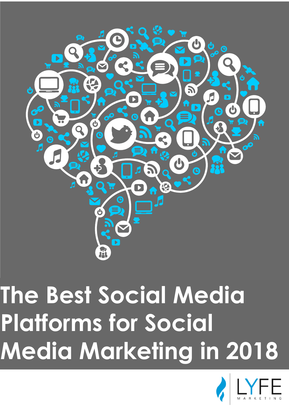

# **The Best Social Media Platforms for Social Media Marketing in 2018**

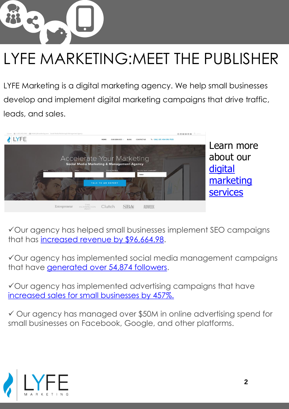

## LYFE MARKETING:MEET THE PUBLISHER

LYFE Marketing is a digital marketing agency. We help small businesses develop and implement digital marketing campaigns that drive traffic, leads, and sales.



Our agency has helped small businesses implement SEO campaigns that has [increased revenue by \\$96,664.98.](https://www.lyfemarketing.com/smb-seo-results/)

Our agency has implemented social media management campaigns that have [generated over 54,874 followers](https://www.lyfemarketing.com/social-media-management-case-study/).

Our agency has implemented advertising campaigns that have [increased sales for small businesses by 457%.](https://www.lyfemarketing.com/social-media-increase-sales/)

 Our agency has managed over \$50M in online advertising spend for small businesses on Facebook, Google, and other platforms.

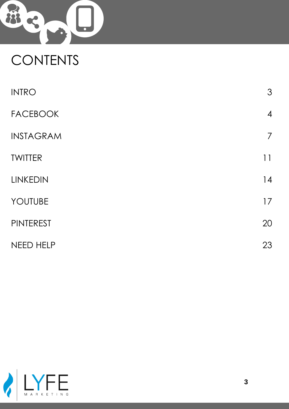

## **CONTENTS**

| <b>INTRO</b>     | $\mathfrak{S}$ |
|------------------|----------------|
| <b>FACEBOOK</b>  | $\overline{4}$ |
| <b>INSTAGRAM</b> | $\overline{7}$ |
| <b>TWITTER</b>   | 11             |
| <b>LINKEDIN</b>  | 14             |
| YOUTUBE          | 17             |
| <b>PINTEREST</b> | 20             |
| <b>NEED HELP</b> | 23             |

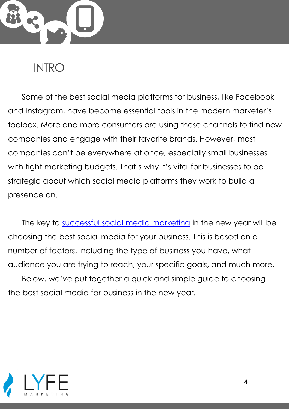

#### **INTRO**

Some of the best social media platforms for business, like Facebook and Instagram, have become essential tools in the modern marketer's toolbox. More and more consumers are using these channels to find new companies and engage with their favorite brands. However, most companies can't be everywhere at once, especially small businesses with tight marketing budgets. That's why it's vital for businesses to be strategic about which social media platforms they work to build a presence on.

The key to [successful social media marketing](https://www.lyfemarketing.com/blog/successful-facebook-ads/) in the new year will be choosing the best social media for your business. This is based on a number of factors, including the type of business you have, what audience you are trying to reach, your specific goals, and much more. Below, we've put together a quick and simple guide to choosing the best social media for business in the new year.

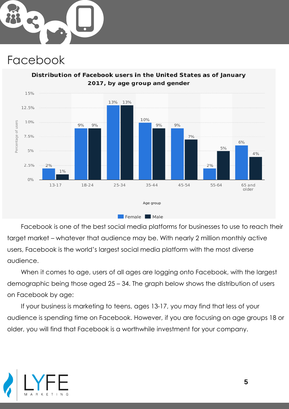

#### Facebook



Distribution of Facebook users in the United States as of January 2017, by age group and gender

Facebook is one of the best social media platforms for businesses to use to reach their target market – whatever that audience may be. With nearly 2 million monthly active users, Facebook is the world's largest social media platform with the most diverse audience.

When it comes to age, users of all ages are logging onto Facebook, with the largest demographic being those aged 25 – 34. The graph below shows the distribution of users on Facebook by age:

If your business is marketing to teens, ages 13-17, you may find that less of your audience is spending time on Facebook. However, if you are focusing on age groups 18 or older, you will find that Facebook is a worthwhile investment for your company.

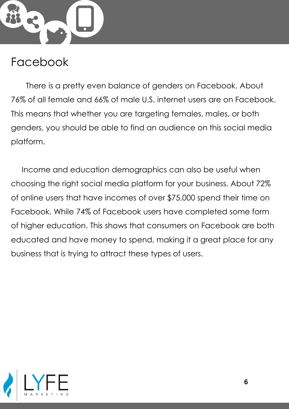

#### Facebook

There is a pretty even balance of genders on Facebook. About 76% of all female and 66% of male U.S. internet users are on Facebook. This means that whether you are targeting females, males, or both genders, you should be able to find an audience on this social media platform.

Income and education demographics can also be useful when choosing the right social media platform for your business. About 72% of online users that have incomes of over \$75,000 spend their time on Facebook. While 74% of Facebook users have completed some form of higher education. This shows that consumers on Facebook are both educated and have money to spend, making it a great place for any business that is trying to attract these types of users.

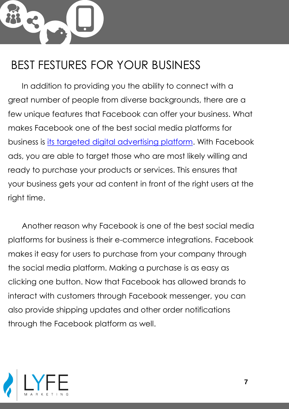In addition to providing you the ability to connect with a great number of people from diverse backgrounds, there are a few unique features that Facebook can offer your business. What makes Facebook one of the best social media platforms for business is [its targeted digital advertising platform](https://www.lyfemarketing.com/blog/facebook-advertising-statistics/). With Facebook ads, you are able to target those who are most likely willing and ready to purchase your products or services. This ensures that your business gets your ad content in front of the right users at the right time.

Another reason why Facebook is one of the best social media platforms for business is their e-commerce integrations. Facebook makes it easy for users to purchase from your company through the social media platform. Making a purchase is as easy as clicking one button. Now that Facebook has allowed brands to interact with customers through Facebook messenger, you can also provide shipping updates and other order notifications through the Facebook platform as well.

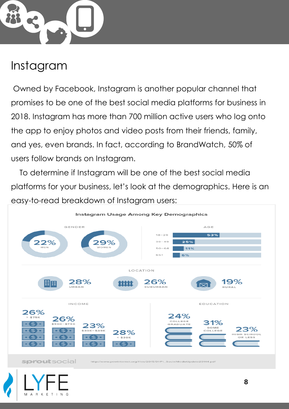

#### Instagram

Owned by Facebook, Instagram is another popular channel that promises to be one of the best social media platforms for business in 2018. Instagram has more than 700 million active users who log onto the app to enjoy photos and video posts from their friends, family, and yes, even brands. In fact, according to BrandWatch, 50% of users follow brands on Instagram.

To determine if Instagram will be one of the best social media platforms for your business, let's look at the demographics. Here is an easy-to-read breakdown of Instagram users:



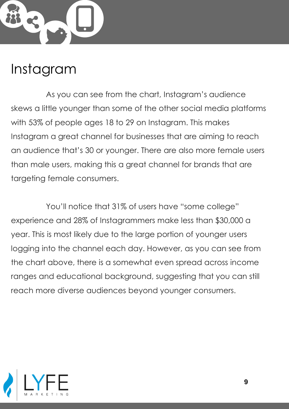

#### Instagram

As you can see from the chart, Instagram's audience skews a little younger than some of the other social media platforms with 53% of people ages 18 to 29 on Instagram. This makes Instagram a great channel for businesses that are aiming to reach an audience that's 30 or younger. There are also more female users than male users, making this a great channel for brands that are targeting female consumers.

You'll notice that 31% of users have "some college" experience and 28% of Instagrammers make less than \$30,000 a year. This is most likely due to the large portion of younger users logging into the channel each day. However, as you can see from the chart above, there is a somewhat even spread across income ranges and educational background, suggesting that you can still reach more diverse audiences beyond younger consumers.

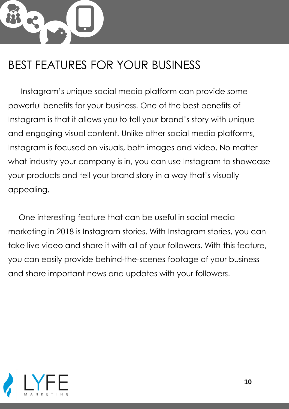Instagram's unique social media platform can provide some powerful benefits for your business. One of the best benefits of Instagram is that it allows you to tell your brand's story with unique and engaging visual content. Unlike other social media platforms, Instagram is focused on visuals, both images and video. No matter what industry your company is in, you can use Instagram to showcase your products and tell your brand story in a way that's visually appealing.

One interesting feature that can be useful in social media marketing in 2018 is Instagram stories. With Instagram stories, you can take live video and share it with all of your followers. With this feature, you can easily provide behind-the-scenes footage of your business and share important news and updates with your followers.

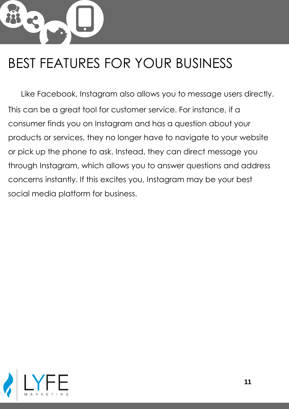Like Facebook, Instagram also allows you to message users directly. This can be a great tool for customer service. For instance, if a consumer finds you on Instagram and has a question about your products or services, they no longer have to navigate to your website or pick up the phone to ask. Instead, they can direct message you through Instagram, which allows you to answer questions and address concerns instantly. If this excites you, Instagram may be your best social media platform for business.

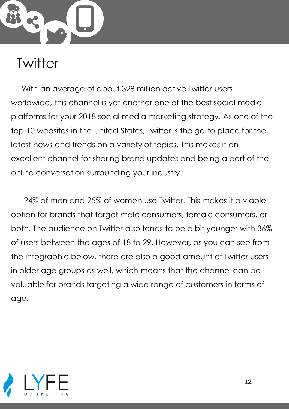

#### **Twitter**

With an average of about 328 million active Twitter users worldwide, this channel is yet another one of the best social media platforms for your 2018 social media marketing strategy. As one of the top 10 websites in the United States, Twitter is the go-to place for the latest news and trends on a variety of topics. This makes it an excellent channel for sharing brand updates and being a part of the online conversation surrounding your industry.

24% of men and 25% of women use Twitter. This makes it a viable option for brands that target male consumers, female consumers, or both. The audience on Twitter also tends to be a bit younger with 36% of users between the ages of 18 to 29. However, as you can see from the infographic below, there are also a good amount of Twitter users in older age groups as well, which means that the channel can be valuable for brands targeting a wide range of customers in terms of age.

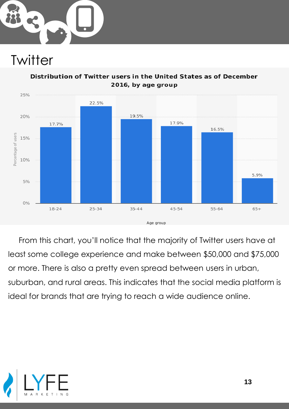

#### **Twitter**



Distribution of Twitter users in the United States as of December 2016, by age group

From this chart, you'll notice that the majority of Twitter users have at least some college experience and make between \$50,000 and \$75,000 or more. There is also a pretty even spread between users in urban, suburban, and rural areas. This indicates that the social media platform is ideal for brands that are trying to reach a wide audience online.

![](_page_12_Picture_5.jpeg)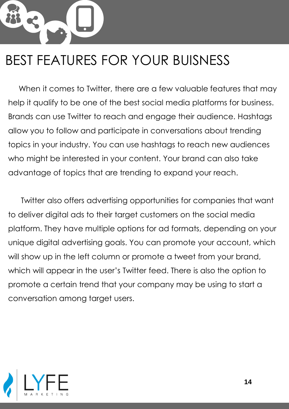When it comes to Twitter, there are a few valuable features that may help it qualify to be one of the best social media platforms for business. Brands can use Twitter to reach and engage their audience. Hashtags allow you to follow and participate in conversations about trending topics in your industry. You can use hashtags to reach new audiences who might be interested in your content. Your brand can also take advantage of topics that are trending to expand your reach.

Twitter also offers advertising opportunities for companies that want to deliver digital ads to their target customers on the social media platform. They have multiple options for ad formats, depending on your unique digital advertising goals. You can promote your account, which will show up in the left column or promote a tweet from your brand, which will appear in the user's Twitter feed. There is also the option to promote a certain trend that your company may be using to start a conversation among target users.

![](_page_13_Picture_3.jpeg)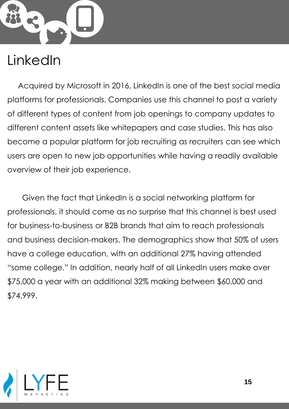![](_page_14_Picture_0.jpeg)

### LinkedIn

Acquired by Microsoft in 2016, LinkedIn is one of the best social media platforms for professionals. Companies use this channel to post a variety of different types of content from job openings to company updates to different content assets like whitepapers and case studies. This has also become a popular platform for job recruiting as recruiters can see which users are open to new job opportunities while having a readily available overview of their job experience.

Given the fact that LinkedIn is a social networking platform for professionals, it should come as no surprise that this channel is best used for business-to-business or B2B brands that aim to reach professionals and business decision-makers. The demographics show that 50% of users have a college education, with an additional 27% having attended "some college." In addition, nearly half of all LinkedIn users make over \$75,000 a year with an additional 32% making between \$60,000 and \$74,999.

![](_page_14_Picture_4.jpeg)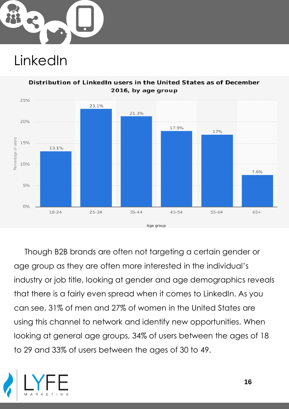![](_page_15_Picture_0.jpeg)

### LinkedIn

![](_page_15_Figure_2.jpeg)

Distribution of LinkedIn users in the United States as of December

Though B2B brands are often not targeting a certain gender or age group as they are often more interested in the individual's industry or job title, looking at gender and age demographics reveals that there is a fairly even spread when it comes to LinkedIn. As you can see, 31% of men and 27% of women in the United States are using this channel to network and identify new opportunities. When looking at general age groups, 34% of users between the ages of 18 to 29 and 33% of users between the ages of 30 to 49.

![](_page_15_Picture_5.jpeg)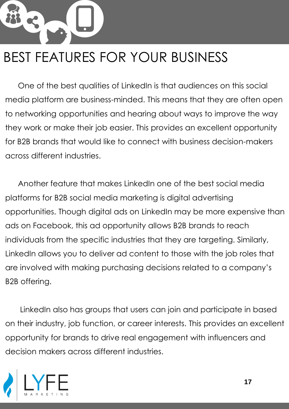One of the best qualities of LinkedIn is that audiences on this social media platform are business-minded. This means that they are often open to networking opportunities and hearing about ways to improve the way they work or make their job easier. This provides an excellent opportunity for B2B brands that would like to connect with business decision-makers across different industries.

Another feature that makes LinkedIn one of the best social media platforms for B2B social media marketing is digital advertising opportunities. Though digital ads on LinkedIn may be more expensive than ads on Facebook, this ad opportunity allows B2B brands to reach individuals from the specific industries that they are targeting. Similarly, LinkedIn allows you to deliver ad content to those with the job roles that are involved with making purchasing decisions related to a company's B2B offering.

LinkedIn also has groups that users can join and participate in based on their industry, job function, or career interests. This provides an excellent opportunity for brands to drive real engagement with influencers and decision makers across different industries.

![](_page_16_Picture_4.jpeg)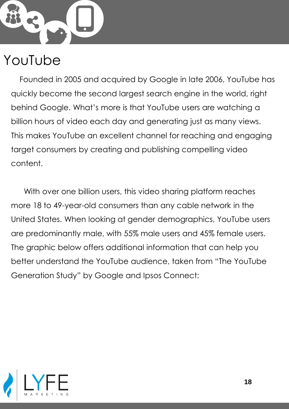![](_page_17_Picture_0.jpeg)

#### YouTube

Founded in 2005 and acquired by Google in late 2006, YouTube has quickly become the second largest search engine in the world, right behind Google. What's more is that YouTube users are watching a billion hours of video each day and generating just as many views. This makes YouTube an excellent channel for reaching and engaging target consumers by creating and publishing compelling video content.

With over one billion users, this video sharing platform reaches more 18 to 49-year-old consumers than any cable network in the United States. When looking at gender demographics, YouTube users are predominantly male, with 55% male users and 45% female users. The graphic below offers additional information that can help you better understand the YouTube audience, taken from "The YouTube Generation Study" by Google and Ipsos Connect:

![](_page_17_Picture_4.jpeg)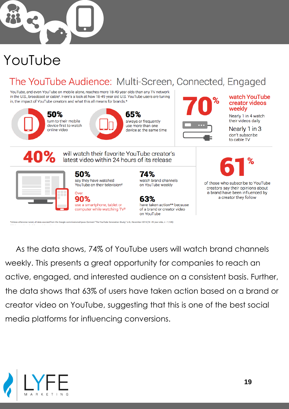![](_page_18_Picture_0.jpeg)

### YouTube

#### The YouTube Audience: Multi-Screen, Connected, Engaged

YouTube, and even YouTube on mobile alone, reaches more 18-49 year olds than any TV network in the U.S., broadcast or cable<sup>1</sup>. Here's a look at how 18-49 year old U.S. YouTube users are tuning in, the impact of YouTube creators and what this all means for brands.\*

ess otherwise noted, all data sourced from the Google commissioned Ipsos Connect "The YouTube Generation Study," U.S., November 2015 (18-49 year-olds, n = 1,125)

![](_page_18_Picture_4.jpeg)

As the data shows, 74% of YouTube users will watch brand channels weekly. This presents a great opportunity for companies to reach an active, engaged, and interested audience on a consistent basis. Further, the data shows that 63% of users have taken action based on a brand or creator video on YouTube, suggesting that this is one of the best social media platforms for influencing conversions.

on YouTube

![](_page_18_Picture_6.jpeg)

watch YouTube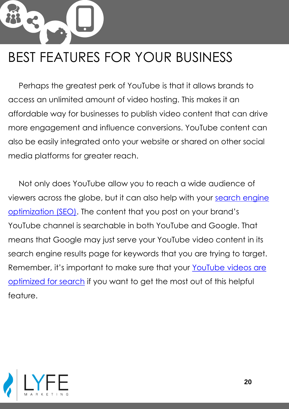Perhaps the greatest perk of YouTube is that it allows brands to access an unlimited amount of video hosting. This makes it an affordable way for businesses to publish video content that can drive more engagement and influence conversions. YouTube content can also be easily integrated onto your website or shared on other social media platforms for greater reach.

Not only does YouTube allow you to reach a wide audience of [viewers across the globe, but it can also help with your](https://www.lyfemarketing.com/atlanta-seo-company/) search engine optimization (SEO). The content that you post on your brand's YouTube channel is searchable in both YouTube and Google. That means that Google may just serve your YouTube video content in its search engine results page for keywords that you are trying to target. Remember, it's important to make sure that your YouTube videos are optimized for search [if you want to get the most out of this helpful](https://www.lyfemarketing.com/blog/social-media-seo/)  feature.

![](_page_19_Picture_3.jpeg)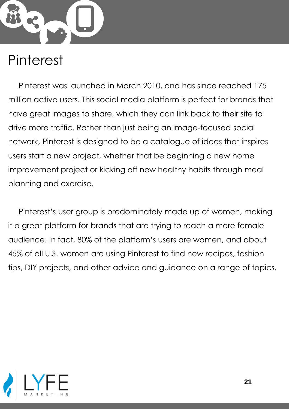![](_page_20_Picture_0.jpeg)

#### Pinterest

Pinterest was launched in March 2010, and has since reached 175 million active users. This social media platform is perfect for brands that have great images to share, which they can link back to their site to drive more traffic. Rather than just being an image-focused social network, Pinterest is designed to be a catalogue of ideas that inspires users start a new project, whether that be beginning a new home improvement project or kicking off new healthy habits through meal planning and exercise.

Pinterest's user group is predominately made up of women, making it a great platform for brands that are trying to reach a more female audience. In fact, 80% of the platform's users are women, and about 45% of all U.S. women are using Pinterest to find new recipes, fashion tips, DIY projects, and other advice and guidance on a range of topics.

![](_page_20_Picture_4.jpeg)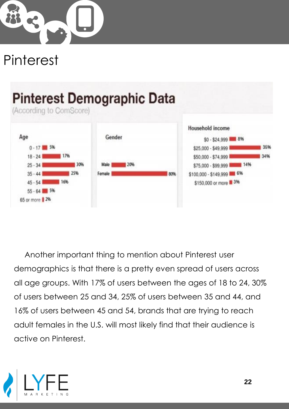![](_page_21_Picture_0.jpeg)

### Pinterest

![](_page_21_Figure_2.jpeg)

Another important thing to mention about Pinterest user demographics is that there is a pretty even spread of users across all age groups. With 17% of users between the ages of 18 to 24, 30% of users between 25 and 34, 25% of users between 35 and 44, and 16% of users between 45 and 54, brands that are trying to reach adult females in the U.S. will most likely find that their audience is active on Pinterest.

![](_page_21_Picture_4.jpeg)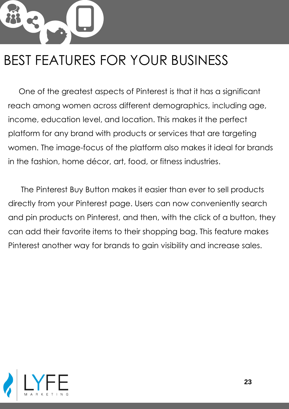One of the greatest aspects of Pinterest is that it has a significant reach among women across different demographics, including age, income, education level, and location. This makes it the perfect platform for any brand with products or services that are targeting women. The image-focus of the platform also makes it ideal for brands in the fashion, home décor, art, food, or fitness industries.

The Pinterest Buy Button makes it easier than ever to sell products directly from your Pinterest page. Users can now conveniently search and pin products on Pinterest, and then, with the click of a button, they can add their favorite items to their shopping bag. This feature makes Pinterest another way for brands to gain visibility and increase sales.

![](_page_22_Picture_3.jpeg)